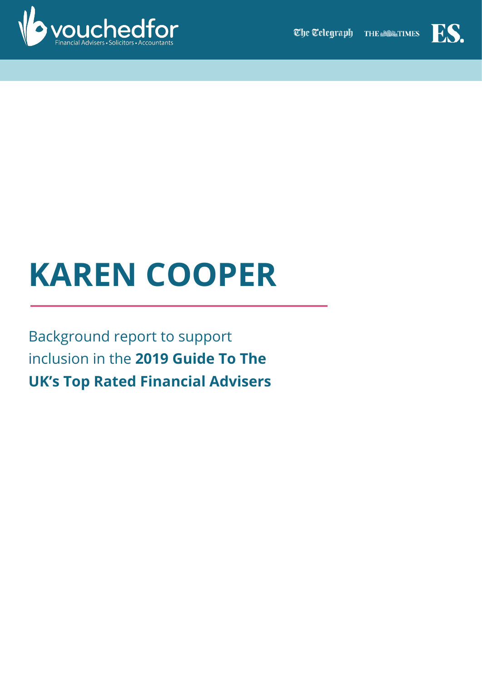



# **KAREN COOPER**

Background report to support inclusion in the **2019 Guide To The UK's Top Rated Financial Advisers**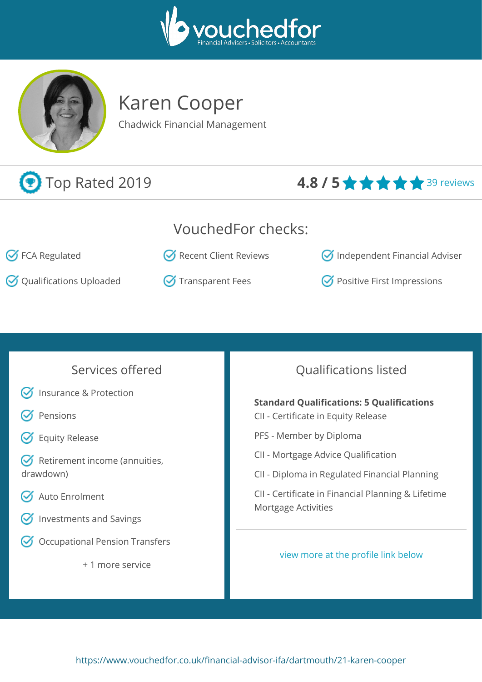



## Karen Cooper

Chadwick Financial Management

## **4.8 / 5 ★ ★ ★ ★** 39 reviews

## VouchedFor checks:





 $\bigcirc$  Qualifications Uploaded  $\bigcirc$  Transparent Fees  $\bigcirc$  Positive First Impressions

## Services offered



- Pensions
- G Equity Release

 $\Theta$  Retirement income (annuities, drawdown)

- **Auto Enrolment**
- $\Theta$  Investments and Savings
- **S** Occupational Pension Transfers
	- + 1 more service

## Qualifications listed

## **Standard Qualifications: 5 Qualifications**

- CII Certificate in Equity Release
- PFS Member by Diploma
- CII Mortgage Advice Qualification
- CII Diploma in Regulated Financial Planning

CII - Certificate in Financial Planning & Lifetime Mortgage Activities

#### view more at the profile link below

<https://www.vouchedfor.co.uk/financial-advisor-ifa/dartmouth/21-karen-cooper>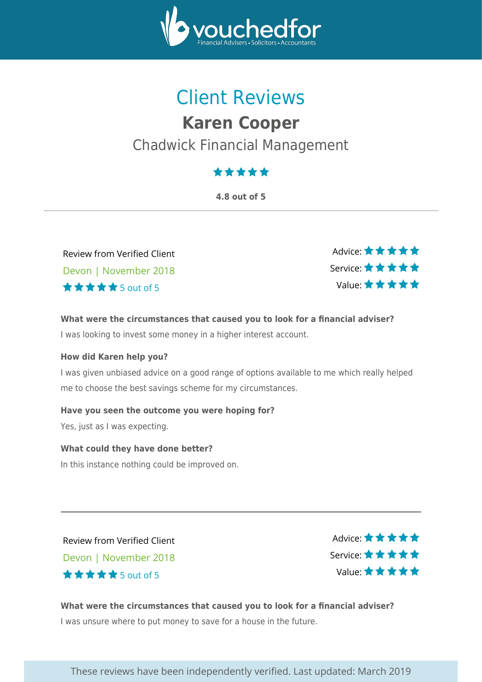

## Client Reviews **Karen Cooper**

Chadwick Financial Management

## \*\*\*\*\*

**4.8 out of 5**

Review from Verified Client Devon | November 2018 5 out of 5

Advice: ★ ★ ★ ★ ★ Service: Value:

#### **What were the circumstances that caused you to look for a financial adviser?**

I was looking to invest some money in a higher interest account.

#### **How did Karen help you?**

I was given unbiased advice on a good range of options available to me which really helped me to choose the best savings scheme for my circumstances.

#### **Have you seen the outcome you were hoping for?**

Yes, just as I was expecting.

#### **What could they have done better?**

In this instance nothing could be improved on.

Review from Verified Client Devon | November 2018 5 out of 5

Advice: \* \* \* \* \* Service: Value:

**What were the circumstances that caused you to look for a financial adviser?** I was unsure where to put money to save for a house in the future.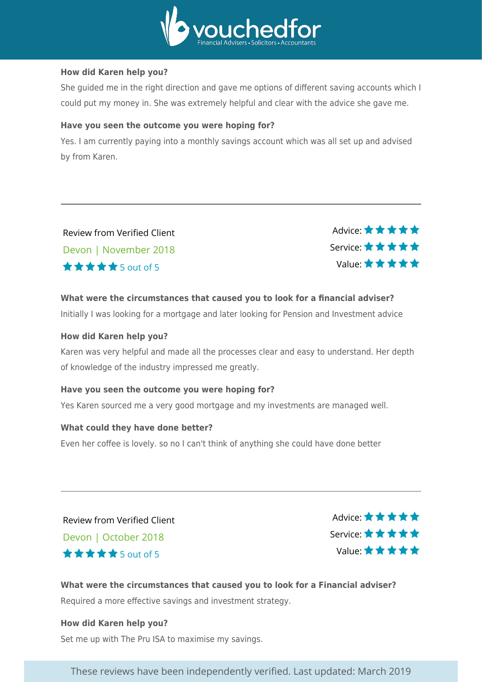

#### **How did Karen help you?**

She guided me in the right direction and gave me options of different saving accounts which I could put my money in. She was extremely helpful and clear with the advice she gave me.

#### **Have you seen the outcome you were hoping for?**

Yes. I am currently paying into a monthly savings account which was all set up and advised by from Karen.

| Review from Verified Client |
|-----------------------------|
| Devon   November 2018       |
| <b>★★★★★</b> 5 out of 5     |

Advice:  $\star \star \star \star \star$ Service: Value:

#### **What were the circumstances that caused you to look for a financial adviser?**

Initially I was looking for a mortgage and later looking for Pension and Investment advice

#### **How did Karen help you?**

Karen was very helpful and made all the processes clear and easy to understand. Her depth of knowledge of the industry impressed me greatly.

#### **Have you seen the outcome you were hoping for?**

Yes Karen sourced me a very good mortgage and my investments are managed well.

#### **What could they have done better?**

Even her coffee is lovely. so no I can't think of anything she could have done better

Review from Verified Client Devon | October 2018 5 out of 5

Advice:  $\star \star \star \star \star$ Service: Value:

**What were the circumstances that caused you to look for a Financial adviser?** Required a more effective savings and investment strategy.

#### **How did Karen help you?**

Set me up with The Pru ISA to maximise my savings.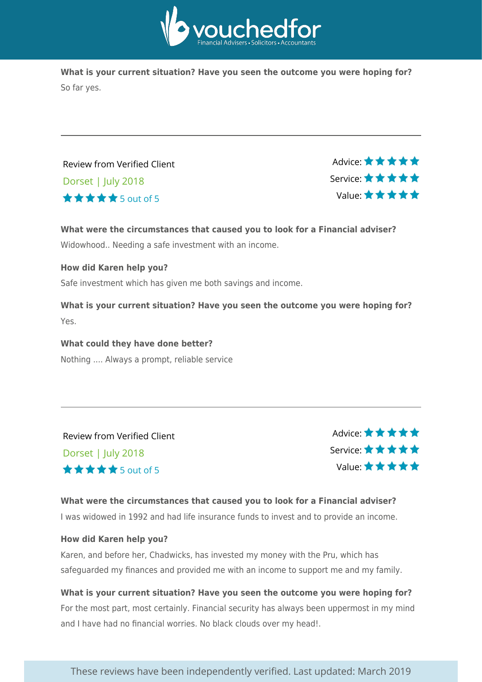

**What is your current situation? Have you seen the outcome you were hoping for?** So far yes.

Review from Verified Client Dorset | Iuly 2018 5 out of 5

Advice: \* \* \* \* \* Service: Value:

**What were the circumstances that caused you to look for a Financial adviser?** Widowhood.. Needing a safe investment with an income.

**How did Karen help you?** Safe investment which has given me both savings and income.

**What is your current situation? Have you seen the outcome you were hoping for?** Yes.

**What could they have done better?** Nothing .... Always a prompt, reliable service

Review from Verified Client Dorset | July 2018 5 out of 5

Advice: ★ ★ ★ ★ ★ Service: Value:

**What were the circumstances that caused you to look for a Financial adviser?** I was widowed in 1992 and had life insurance funds to invest and to provide an income.

#### **How did Karen help you?**

Karen, and before her, Chadwicks, has invested my money with the Pru, which has safeguarded my finances and provided me with an income to support me and my family.

**What is your current situation? Have you seen the outcome you were hoping for?** For the most part, most certainly. Financial security has always been uppermost in my mind and I have had no financial worries. No black clouds over my head!.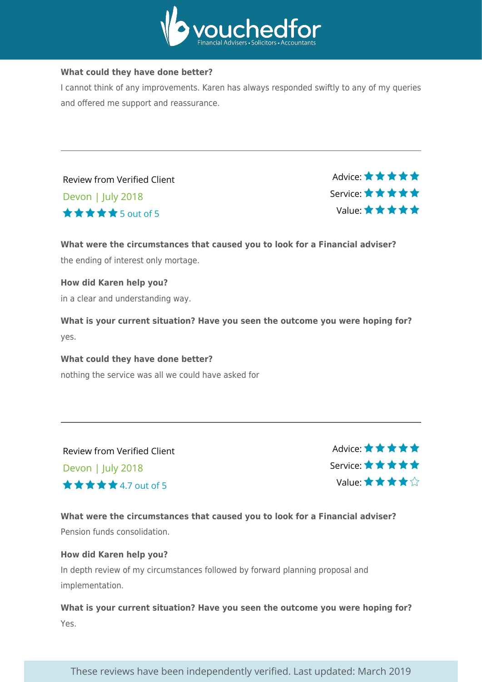

#### **What could they have done better?**

I cannot think of any improvements. Karen has always responded swiftly to any of my queries and offered me support and reassurance.

Review from Verified Client Devon | July 2018 5 out of 5

Advice: ★ ★ ★ ★ ★ Service: Value:

**What were the circumstances that caused you to look for a Financial adviser?** the ending of interest only mortage.

**How did Karen help you?** in a clear and understanding way.

**What is your current situation? Have you seen the outcome you were hoping for?** yes.

**What could they have done better?** nothing the service was all we could have asked for

Review from Verified Client Devon | July 2018 4.7 out of 5

Advice: \* \* \* \* \* Service: Value:

**What were the circumstances that caused you to look for a Financial adviser?** Pension funds consolidation.

#### **How did Karen help you?**

In depth review of my circumstances followed by forward planning proposal and implementation.

**What is your current situation? Have you seen the outcome you were hoping for?** Yes.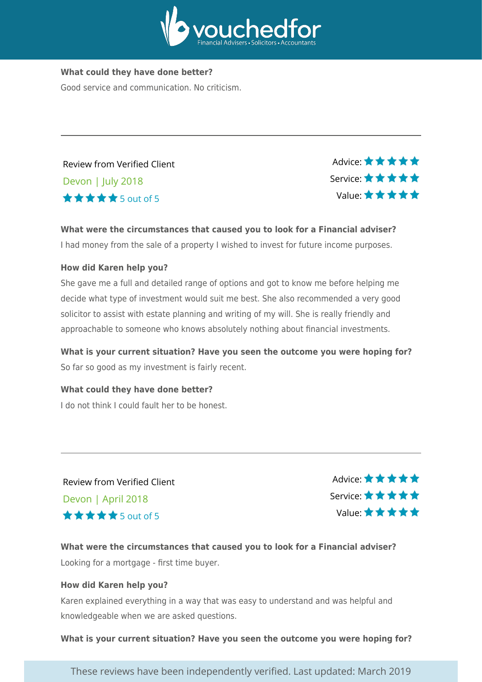

#### **What could they have done better?**

Good service and communication. No criticism.

Review from Verified Client Devon | July 2018 5 out of 5

Advice: \* \* \* \* \* Service: Value:

### **What were the circumstances that caused you to look for a Financial adviser?**

I had money from the sale of a property I wished to invest for future income purposes.

#### **How did Karen help you?**

She gave me a full and detailed range of options and got to know me before helping me decide what type of investment would suit me best. She also recommended a very good solicitor to assist with estate planning and writing of my will. She is really friendly and approachable to someone who knows absolutely nothing about financial investments.

**What is your current situation? Have you seen the outcome you were hoping for?** So far so good as my investment is fairly recent.

#### **What could they have done better?**

I do not think I could fault her to be honest.

Review from Verified Client Devon | April 2018 5 out of 5

Advice: \* \* \* \* \* Service: Value:

**What were the circumstances that caused you to look for a Financial adviser?** Looking for a mortgage - first time buyer.

#### **How did Karen help you?**

Karen explained everything in a way that was easy to understand and was helpful and knowledgeable when we are asked questions.

**What is your current situation? Have you seen the outcome you were hoping for?**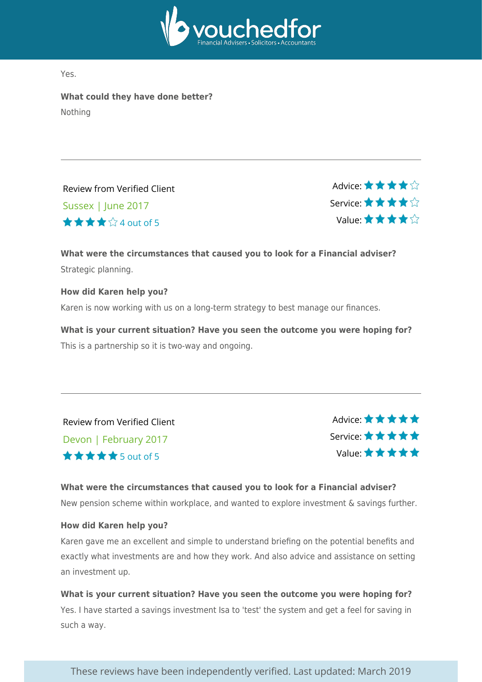

Yes.

**What could they have done better?** Nothing

Review from Verified Client Sussex | June 2017 4 out of 5

Advice: ★★★★☆ Service: Value:

**What were the circumstances that caused you to look for a Financial adviser?** Strategic planning.

#### **How did Karen help you?**

Karen is now working with us on a long-term strategy to best manage our finances.

**What is your current situation? Have you seen the outcome you were hoping for?** This is a partnership so it is two-way and ongoing.

Review from Verified Client Devon | February 2017  $\star \star \star \star$  5 out of 5

Advice: \* \* \* \* \* Service: Value:

#### **What were the circumstances that caused you to look for a Financial adviser?**

New pension scheme within workplace, and wanted to explore investment & savings further.

#### **How did Karen help you?**

Karen gave me an excellent and simple to understand briefing on the potential benefits and exactly what investments are and how they work. And also advice and assistance on setting an investment up.

**What is your current situation? Have you seen the outcome you were hoping for?** Yes. I have started a savings investment Isa to 'test' the system and get a feel for saving in such a way.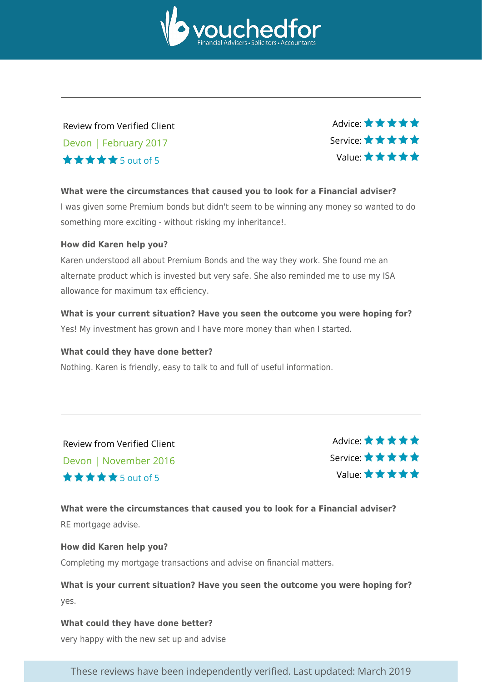

## Review from Verified Client Devon | February 2017  $\star \star \star \star$ 5 out of 5

Advice: ★ ★ ★ ★ ★ Service: Value:

#### **What were the circumstances that caused you to look for a Financial adviser?**

I was given some Premium bonds but didn't seem to be winning any money so wanted to do something more exciting - without risking my inheritance!.

#### **How did Karen help you?**

Karen understood all about Premium Bonds and the way they work. She found me an alternate product which is invested but very safe. She also reminded me to use my ISA allowance for maximum tax efficiency.

**What is your current situation? Have you seen the outcome you were hoping for?** Yes! My investment has grown and I have more money than when I started.

#### **What could they have done better?**

Nothing. Karen is friendly, easy to talk to and full of useful information.

Review from Verified Client Devon | November 2016 5 out of 5

Advice: \* \* \* \* \* Service: Value:

## **What were the circumstances that caused you to look for a Financial adviser?** RE mortgage advise.

#### **How did Karen help you?**

Completing my mortgage transactions and advise on financial matters.

#### **What is your current situation? Have you seen the outcome you were hoping for?** yes.

**What could they have done better?** very happy with the new set up and advise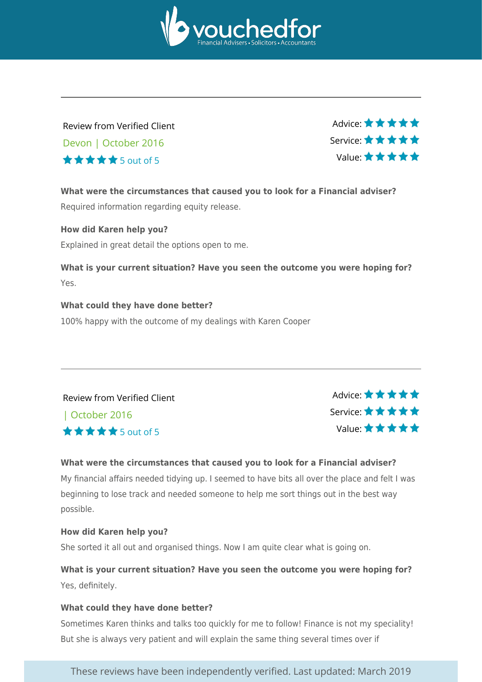

Review from Verified Client Devon | October 2016  $\star \star \star \star$ 5 out of 5

Advice: ★ ★ ★ ★ ★ Service: Value:

**What were the circumstances that caused you to look for a Financial adviser?** Required information regarding equity release.

**How did Karen help you?** Explained in great detail the options open to me.

**What is your current situation? Have you seen the outcome you were hoping for?** Yes.

**What could they have done better?** 100% happy with the outcome of my dealings with Karen Cooper

## Review from Verified Client | October 2016 5 out of 5



#### **What were the circumstances that caused you to look for a Financial adviser?**

My financial affairs needed tidying up. I seemed to have bits all over the place and felt I was beginning to lose track and needed someone to help me sort things out in the best way possible.

#### **How did Karen help you?**

She sorted it all out and organised things. Now I am quite clear what is going on.

#### **What is your current situation? Have you seen the outcome you were hoping for?** Yes, definitely.

#### **What could they have done better?**

Sometimes Karen thinks and talks too quickly for me to follow! Finance is not my speciality! But she is always very patient and will explain the same thing several times over if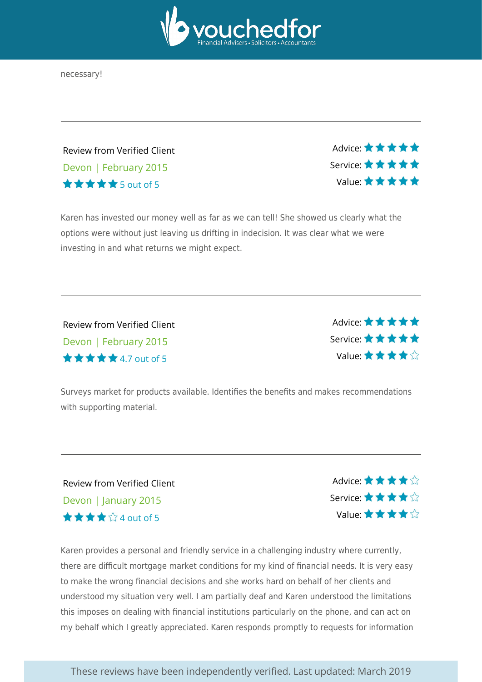

necessary!

## Review from Verified Client Devon | February 2015 5 out of 5

Advice: \* \* \* \* \* Service: Value:

Karen has invested our money well as far as we can tell! She showed us clearly what the options were without just leaving us drifting in indecision. It was clear what we were investing in and what returns we might expect.

Review from Verified Client Devon | February 2015  $\star \star \star \star$ 4.7 out of 5

Advice: \*\*\*\*\* Service: Value:

Advice: \* \* \* \* \*

Service:

Value:

Surveys market for products available. Identifies the benefits and makes recommendations with supporting material.

Review from Verified Client Devon | January 2015 4 out of 5

Karen provides a personal and friendly service in a challenging industry where currently, there are difficult mortgage market conditions for my kind of financial needs. It is very easy to make the wrong financial decisions and she works hard on behalf of her clients and understood my situation very well. I am partially deaf and Karen understood the limitations this imposes on dealing with financial institutions particularly on the phone, and can act on my behalf which I greatly appreciated. Karen responds promptly to requests for information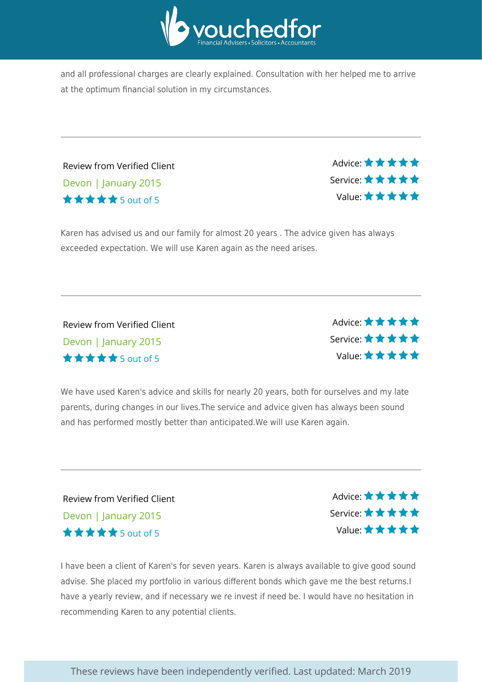

and all professional charges are clearly explained. Consultation with her helped me to arrive at the optimum financial solution in my circumstances.

Review from Verified Client Devon | January 2015 5 out of 5

Advice: ★★★★★ Service: Value:

Karen has advised us and our family for almost 20 years . The advice given has always exceeded expectation. We will use Karen again as the need arises.

Review from Verified Client Devon | January 2015  $\star \star \star \star$  5 out of 5

Advice: ★ ★ ★ ★ ★ Service: Value:

We have used Karen's advice and skills for nearly 20 years, both for ourselves and my late parents, during changes in our lives.The service and advice given has always been sound and has performed mostly better than anticipated.We will use Karen again.

Review from Verified Client Devon | January 2015 5 out of 5

Advice: \* \* \* \* \* Service: Value:

I have been a client of Karen's for seven years. Karen is always available to give good sound advise. She placed my portfolio in various different bonds which gave me the best returns.I have a yearly review, and if necessary we re invest if need be. I would have no hesitation in recommending Karen to any potential clients.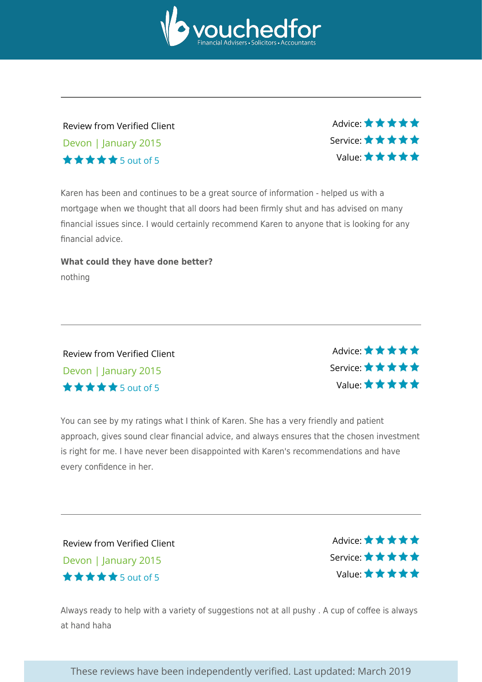

Review from Verified Client Devon | January 2015 5 out of 5

Karen has been and continues to be a great source of information - helped us with a mortgage when we thought that all doors had been firmly shut and has advised on many financial issues since. I would certainly recommend Karen to anyone that is looking for any financial advice.

**What could they have done better?** nothing

Review from Verified Client Devon | January 2015 5 out of 5

Advice: \* \* \* \* \* Service: Value:

You can see by my ratings what I think of Karen. She has a very friendly and patient approach, gives sound clear financial advice, and always ensures that the chosen investment is right for me. I have never been disappointed with Karen's recommendations and have every confidence in her.

Review from Verified Client Devon | January 2015 5 out of 5

Advice: \* \* \* \* \* Service: Value:

Always ready to help with a variety of suggestions not at all pushy . A cup of coffee is always at hand haha

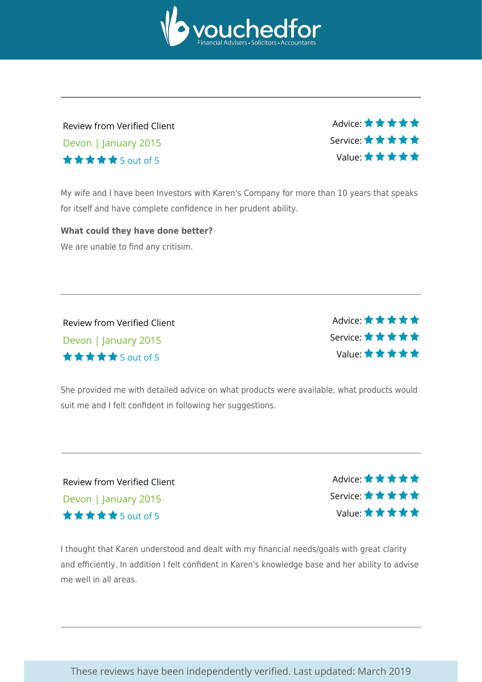

Review from Verified Client Devon | January 2015 5 out of 5

Advice: ★ ★ ★ ★ ★ Service: Value:

My wife and I have been Investors with Karen's Company for more than 10 years that speaks for itself and have complete confidence in her prudent ability.

**What could they have done better?**

We are unable to find any critisim.

Review from Verified Client Devon | January 2015 5 out of 5

Advice:  $\star \star \star \star \star$ Service: Value:

She provided me with detailed advice on what products were available, what products would suit me and I felt confident in following her suggestions.

Review from Verified Client Devon | January 2015 5 out of 5

Advice: ★ ★ ★ ★ ★ Service: Value:

I thought that Karen understood and dealt with my financial needs/goals with great clarity and efficiently. In addition I felt confident in Karen's knowledge base and her ability to advise me well in all areas.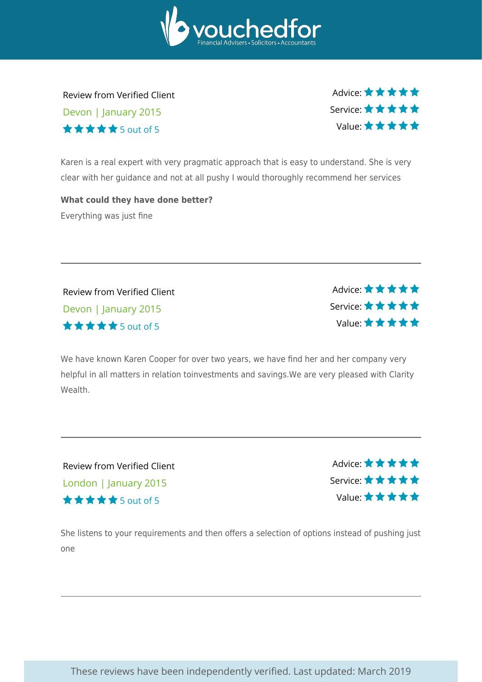

Review from Verified Client Devon | January 2015

 $\star \star \star \star$  5 out of 5

Advice:  $\star \star \star \star \star$ Service: Value:

Karen is a real expert with very pragmatic approach that is easy to understand. She is very clear with her guidance and not at all pushy I would thoroughly recommend her services

**What could they have done better?** Everything was just fine

Review from Verified Client Devon | January 2015 5 out of 5

Advice: \* \* \* \* \* Service: Value:

We have known Karen Cooper for over two years, we have find her and her company very helpful in all matters in relation toinvestments and savings.We are very pleased with Clarity Wealth.

Review from Verified Client London | January 2015 5 out of 5

Advice: \* \* \* \* \* Service: Value:

She listens to your requirements and then offers a selection of options instead of pushing just one